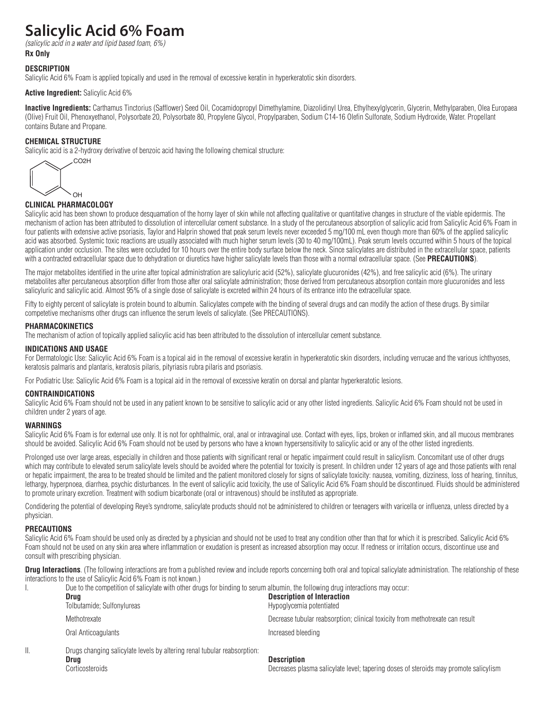# **Salicylic Acid 6% Foam**

*(salicylic acid in a water and lipid based foam, 6%)* **Rx Only**

# **DESCRIPTION**

Salicylic Acid 6% Foam is applied topically and used in the removal of excessive keratin in hyperkeratotic skin disorders.

# **Active Ingredient:** Salicylic Acid 6%

**Inactive Ingredients:** Carthamus Tinctorius (Safflower) Seed Oil, Cocamidopropyl Dimethylamine, Diazolidinyl Urea, Ethylhexylglycerin, Glycerin, Methylparaben, Olea Europaea (Olive) Fruit Oil, Phenoxyethanol, Polysorbate 20, Polysorbate 80, Propylene Glycol, Propylparaben, Sodium C14-16 Olefin Sulfonate, Sodium Hydroxide, Water. Propellant contains Butane and Propane.

# **CHEMICAL STRUCTURE**

Salicylic acid is a 2-hydroxy derivative of benzoic acid having the following chemical structure:

CO2H OH

## **CLINICAL PHARMACOLOGY**

Salicylic acid has been shown to produce desquamation of the horny layer of skin while not affecting qualitative or quantitative changes in structure of the viable epidermis. The mechanism of action has been attributed to dissolution of intercellular cement substance. In a study of the percutaneous absorption of salicylic acid from Salicylic Acid 6% Foam in four patients with extensive active psoriasis, Taylor and Halprin showed that peak serum levels never exceeded 5 mg/100 mL even though more than 60% of the applied salicylic acid was absorbed. Systemic toxic reactions are usually associated with much higher serum levels (30 to 40 mg/100mL). Peak serum levels occurred within 5 hours of the topical application under occlusion. The sites were occluded for 10 hours over the entire body surface below the neck. Since salicylates are distributed in the extracellular space, patients with a contracted extracellular space due to dehydration or diuretics have higher salicylate levels than those with a normal extracellular space. (See **PRECAUTIONS**).

The major metabolites identified in the urine after topical administration are salicyluric acid (52%), salicylate glucuronides (42%), and free salicylic acid (6%). The urinary metabolites after percutaneous absorption differ from those after oral salicylate administration; those derived from percutaneous absorption contain more glucuronides and less salicyluric and salicylic acid. Almost 95% of a single dose of salicylate is excreted within 24 hours of its entrance into the extracellular space.

Fifty to eighty percent of salicylate is protein bound to albumin. Salicylates compete with the binding of several drugs and can modify the action of these drugs. By similar competetive mechanisms other drugs can influence the serum levels of salicylate. (See PRECAUTIONS).

#### **PHARMACOKINETICS**

The mechanism of action of topically applied salicylic acid has been attributed to the dissolution of intercellular cement substance.

# **INDICATIONS AND USAGE**

For Dermatologic Use: Salicylic Acid 6% Foam is a topical aid in the removal of excessive keratin in hyperkeratotic skin disorders, including verrucae and the various ichthyoses, keratosis palmaris and plantaris, keratosis pilaris, pityriasis rubra pilaris and psoriasis.

For Podiatric Use: Salicylic Acid 6% Foam is a topical aid in the removal of excessive keratin on dorsal and plantar hyperkeratotic lesions.

## **CONTRAINDICATIONS**

Salicylic Acid 6% Foam should not be used in any patient known to be sensitive to salicylic acid or any other listed ingredients. Salicylic Acid 6% Foam should not be used in children under 2 years of age.

## **WARNINGS**

Salicylic Acid 6% Foam is for external use only. It is not for ophthalmic, oral, anal or intravaginal use. Contact with eyes, lips, broken or inflamed skin, and all mucous membranes should be avoided. Salicylic Acid 6% Foam should not be used by persons who have a known hypersensitivity to salicylic acid or any of the other listed ingredients.

Prolonged use over large areas, especially in children and those patients with significant renal or hepatic impairment could result in salicylism. Concomitant use of other drugs which may contribute to elevated serum salicylate levels should be avoided where the potential for toxicity is present. In children under 12 years of age and those patients with renal or hepatic impairment, the area to be treated should be limited and the patient monitored closely for signs of salicylate toxicity: nausea, vomiting, dizziness, loss of hearing, tinnitus, lethargy, hyperpnoea, diarrhea, psychic disturbances. In the event of salicylic acid toxicity, the use of Salicylic Acid 6% Foam should be discontinued. Fluids should be administered to promote urinary excretion. Treatment with sodium bicarbonate (oral or intravenous) should be instituted as appropriate.

Condidering the potential of developing Reye's syndrome, salicylate products should not be administered to children or teenagers with varicella or influenza, unless directed by a physician.

## **PRECAUTIONS**

Salicylic Acid 6% Foam should be used only as directed by a physician and should not be used to treat any condition other than that for which it is prescribed. Salicylic Acid 6% Foam should not be used on any skin area where inflammation or exudation is present as increased absorption may occur. If redness or irritation occurs, discontinue use and consult with prescribing physician.

**Drug Interactions**. (The following interactions are from a published review and include reports concerning both oral and topical salicylate administration. The relationship of these interactions to the use of Salicylic Acid 6% Foam is not known.)

| Due to the competition of salicylate with other drugs for binding to serum albumin, the following drug interactions may occur: |                                                                               |  |
|--------------------------------------------------------------------------------------------------------------------------------|-------------------------------------------------------------------------------|--|
| Drua                                                                                                                           | <b>Description of Interaction</b>                                             |  |
| Tolbutamide; Sulfonylureas                                                                                                     | Hypoglycemia potentiated                                                      |  |
| Methotrexate                                                                                                                   | Decrease tubular reabsorption; clinical toxicity from methotrexate can result |  |
| Oral Anticoagulants                                                                                                            | Increased bleeding                                                            |  |
| Drugs changing saliculate levels by altering renal tubular reabsorption.                                                       |                                                                               |  |

II. Drugs changing salicylate levels by **Drug Description**

Corticosteroids Decreases plasma salicylate level; tapering doses of steroids may promote salicylism